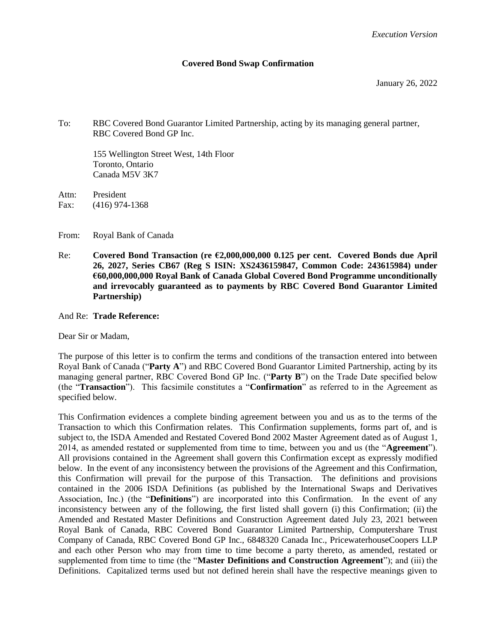#### **Covered Bond Swap Confirmation**

January 26, 2022

To: RBC Covered Bond Guarantor Limited Partnership, acting by its managing general partner, RBC Covered Bond GP Inc.

155 Wellington Street West, 14th Floor Toronto, Ontario Canada M5V 3K7

Attn: President Fax: (416) 974-1368

From: Royal Bank of Canada

Re: **Covered Bond Transaction (re €2,000,000,000 0.125 per cent. Covered Bonds due April 26, 2027, Series CB67 (Reg S ISIN: XS2436159847, Common Code: 243615984) under €60,000,000,000 Royal Bank of Canada Global Covered Bond Programme unconditionally and irrevocably guaranteed as to payments by RBC Covered Bond Guarantor Limited Partnership)**

And Re: **Trade Reference:** 

Dear Sir or Madam,

The purpose of this letter is to confirm the terms and conditions of the transaction entered into between Royal Bank of Canada ("**Party A**") and RBC Covered Bond Guarantor Limited Partnership, acting by its managing general partner, RBC Covered Bond GP Inc. ("**Party B**") on the Trade Date specified below (the "**Transaction**"). This facsimile constitutes a "**Confirmation**" as referred to in the Agreement as specified below.

This Confirmation evidences a complete binding agreement between you and us as to the terms of the Transaction to which this Confirmation relates. This Confirmation supplements, forms part of, and is subject to, the ISDA Amended and Restated Covered Bond 2002 Master Agreement dated as of August 1, 2014, as amended restated or supplemented from time to time, between you and us (the "**Agreement**"). All provisions contained in the Agreement shall govern this Confirmation except as expressly modified below. In the event of any inconsistency between the provisions of the Agreement and this Confirmation, this Confirmation will prevail for the purpose of this Transaction. The definitions and provisions contained in the 2006 ISDA Definitions (as published by the International Swaps and Derivatives Association, Inc.) (the "**Definitions**") are incorporated into this Confirmation. In the event of any inconsistency between any of the following, the first listed shall govern (i) this Confirmation; (ii) the Amended and Restated Master Definitions and Construction Agreement dated July 23, 2021 between Royal Bank of Canada, RBC Covered Bond Guarantor Limited Partnership, Computershare Trust Company of Canada, RBC Covered Bond GP Inc., 6848320 Canada Inc., PricewaterhouseCoopers LLP and each other Person who may from time to time become a party thereto, as amended, restated or supplemented from time to time (the "**Master Definitions and Construction Agreement**"); and (iii) the Definitions. Capitalized terms used but not defined herein shall have the respective meanings given to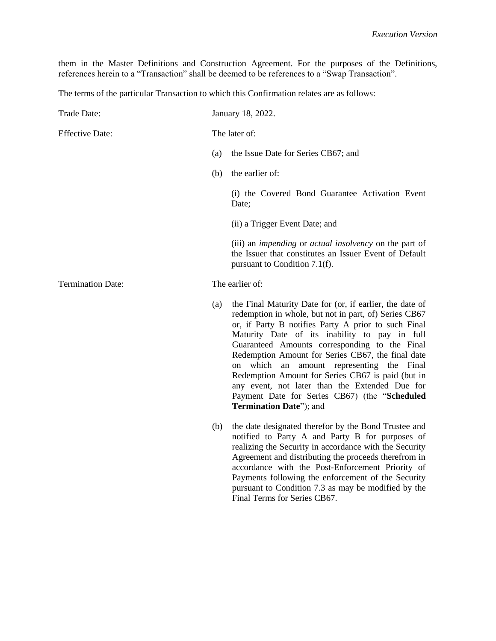them in the Master Definitions and Construction Agreement. For the purposes of the Definitions, references herein to a "Transaction" shall be deemed to be references to a "Swap Transaction".

The terms of the particular Transaction to which this Confirmation relates are as follows:

| Trade Date:              | January 18, 2022. |                                                                                                                                                                                                                                                                                                                                                                                                                                                                                                                                                                    |
|--------------------------|-------------------|--------------------------------------------------------------------------------------------------------------------------------------------------------------------------------------------------------------------------------------------------------------------------------------------------------------------------------------------------------------------------------------------------------------------------------------------------------------------------------------------------------------------------------------------------------------------|
| <b>Effective Date:</b>   |                   | The later of:                                                                                                                                                                                                                                                                                                                                                                                                                                                                                                                                                      |
|                          | (a)               | the Issue Date for Series CB67; and                                                                                                                                                                                                                                                                                                                                                                                                                                                                                                                                |
|                          | (b)               | the earlier of:                                                                                                                                                                                                                                                                                                                                                                                                                                                                                                                                                    |
|                          |                   | (i) the Covered Bond Guarantee Activation Event<br>Date;                                                                                                                                                                                                                                                                                                                                                                                                                                                                                                           |
|                          |                   | (ii) a Trigger Event Date; and                                                                                                                                                                                                                                                                                                                                                                                                                                                                                                                                     |
|                          |                   | (iii) an <i>impending</i> or <i>actual insolvency</i> on the part of<br>the Issuer that constitutes an Issuer Event of Default<br>pursuant to Condition 7.1(f).                                                                                                                                                                                                                                                                                                                                                                                                    |
| <b>Termination Date:</b> |                   | The earlier of:                                                                                                                                                                                                                                                                                                                                                                                                                                                                                                                                                    |
|                          | (a)               | the Final Maturity Date for (or, if earlier, the date of<br>redemption in whole, but not in part, of) Series CB67<br>or, if Party B notifies Party A prior to such Final<br>Maturity Date of its inability to pay in full<br>Guaranteed Amounts corresponding to the Final<br>Redemption Amount for Series CB67, the final date<br>on which an<br>amount representing the Final<br>Redemption Amount for Series CB67 is paid (but in<br>any event, not later than the Extended Due for<br>Payment Date for Series CB67) (the "Scheduled<br>Termination Date"); and |
|                          | (b)               | the date designated therefor by the Bond Trustee and<br>notified to Party A and Party B for purposes of<br>realizing the Security in accordance with the Security<br>Agreement and distributing the proceeds therefrom in<br>accordance with the Post-Enforcement Priority of<br>Payments following the enforcement of the Security<br>pursuant to Condition 7.3 as may be modified by the<br>Final Terms for Series CB67.                                                                                                                                         |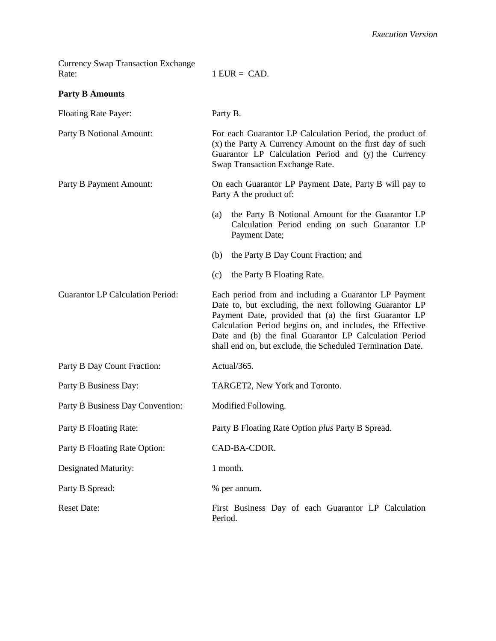| <b>Currency Swap Transaction Exchange</b><br>Rate: | $1$ EUR = CAD.                                                                                                                                                                                                                                                                                                                                                  |  |
|----------------------------------------------------|-----------------------------------------------------------------------------------------------------------------------------------------------------------------------------------------------------------------------------------------------------------------------------------------------------------------------------------------------------------------|--|
| <b>Party B Amounts</b>                             |                                                                                                                                                                                                                                                                                                                                                                 |  |
| <b>Floating Rate Payer:</b>                        | Party B.                                                                                                                                                                                                                                                                                                                                                        |  |
| Party B Notional Amount:                           | For each Guarantor LP Calculation Period, the product of<br>(x) the Party A Currency Amount on the first day of such<br>Guarantor LP Calculation Period and (y) the Currency<br>Swap Transaction Exchange Rate.                                                                                                                                                 |  |
| Party B Payment Amount:                            | On each Guarantor LP Payment Date, Party B will pay to<br>Party A the product of:                                                                                                                                                                                                                                                                               |  |
|                                                    | the Party B Notional Amount for the Guarantor LP<br>(a)<br>Calculation Period ending on such Guarantor LP<br>Payment Date;                                                                                                                                                                                                                                      |  |
|                                                    | the Party B Day Count Fraction; and<br>(b)                                                                                                                                                                                                                                                                                                                      |  |
|                                                    | the Party B Floating Rate.<br>(c)                                                                                                                                                                                                                                                                                                                               |  |
| <b>Guarantor LP Calculation Period:</b>            | Each period from and including a Guarantor LP Payment<br>Date to, but excluding, the next following Guarantor LP<br>Payment Date, provided that (a) the first Guarantor LP<br>Calculation Period begins on, and includes, the Effective<br>Date and (b) the final Guarantor LP Calculation Period<br>shall end on, but exclude, the Scheduled Termination Date. |  |
| Party B Day Count Fraction:                        | Actual/365.                                                                                                                                                                                                                                                                                                                                                     |  |
| Party B Business Day:                              | TARGET2, New York and Toronto.                                                                                                                                                                                                                                                                                                                                  |  |
| Party B Business Day Convention:                   | Modified Following.                                                                                                                                                                                                                                                                                                                                             |  |
| Party B Floating Rate:                             | Party B Floating Rate Option plus Party B Spread.                                                                                                                                                                                                                                                                                                               |  |
| Party B Floating Rate Option:                      | CAD-BA-CDOR.                                                                                                                                                                                                                                                                                                                                                    |  |
| Designated Maturity:                               | 1 month.                                                                                                                                                                                                                                                                                                                                                        |  |
| Party B Spread:                                    | % per annum.                                                                                                                                                                                                                                                                                                                                                    |  |
| <b>Reset Date:</b>                                 | First Business Day of each Guarantor LP Calculation<br>Period.                                                                                                                                                                                                                                                                                                  |  |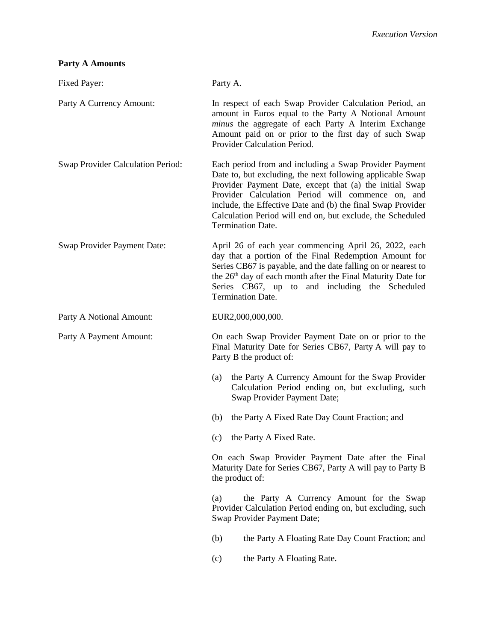# **Party A Amounts**

| Fixed Payer:                      | Party A.                                                                                                                                                                                                                                                                                                                                                                                      |  |  |
|-----------------------------------|-----------------------------------------------------------------------------------------------------------------------------------------------------------------------------------------------------------------------------------------------------------------------------------------------------------------------------------------------------------------------------------------------|--|--|
| Party A Currency Amount:          | In respect of each Swap Provider Calculation Period, an<br>amount in Euros equal to the Party A Notional Amount<br>minus the aggregate of each Party A Interim Exchange<br>Amount paid on or prior to the first day of such Swap<br>Provider Calculation Period.                                                                                                                              |  |  |
| Swap Provider Calculation Period: | Each period from and including a Swap Provider Payment<br>Date to, but excluding, the next following applicable Swap<br>Provider Payment Date, except that (a) the initial Swap<br>Provider Calculation Period will commence on, and<br>include, the Effective Date and (b) the final Swap Provider<br>Calculation Period will end on, but exclude, the Scheduled<br><b>Termination Date.</b> |  |  |
| Swap Provider Payment Date:       | April 26 of each year commencing April 26, 2022, each<br>day that a portion of the Final Redemption Amount for<br>Series CB67 is payable, and the date falling on or nearest to<br>the 26 <sup>th</sup> day of each month after the Final Maturity Date for<br>Series CB67, up to and including the Scheduled<br><b>Termination Date.</b>                                                     |  |  |
| Party A Notional Amount:          | EUR2,000,000,000.                                                                                                                                                                                                                                                                                                                                                                             |  |  |
| Party A Payment Amount:           | On each Swap Provider Payment Date on or prior to the<br>Final Maturity Date for Series CB67, Party A will pay to<br>Party B the product of:                                                                                                                                                                                                                                                  |  |  |
|                                   | the Party A Currency Amount for the Swap Provider<br>(a)<br>Calculation Period ending on, but excluding, such<br>Swap Provider Payment Date;                                                                                                                                                                                                                                                  |  |  |
|                                   | the Party A Fixed Rate Day Count Fraction; and<br>(b)                                                                                                                                                                                                                                                                                                                                         |  |  |
|                                   | (c) the Party A Fixed Rate.                                                                                                                                                                                                                                                                                                                                                                   |  |  |
|                                   | On each Swap Provider Payment Date after the Final<br>Maturity Date for Series CB67, Party A will pay to Party B<br>the product of:                                                                                                                                                                                                                                                           |  |  |
|                                   | the Party A Currency Amount for the Swap<br>(a)<br>Provider Calculation Period ending on, but excluding, such<br>Swap Provider Payment Date;                                                                                                                                                                                                                                                  |  |  |
|                                   | (b)<br>the Party A Floating Rate Day Count Fraction; and                                                                                                                                                                                                                                                                                                                                      |  |  |
|                                   | the Party A Floating Rate.<br>(c)                                                                                                                                                                                                                                                                                                                                                             |  |  |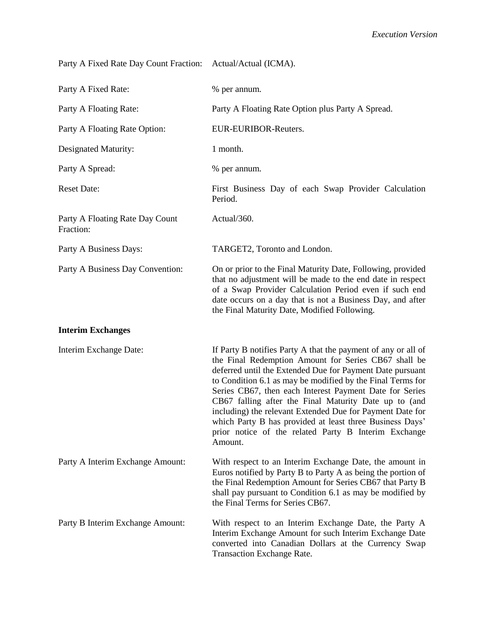Party A Fixed Rate Day Count Fraction: Actual/Actual (ICMA).

| Party A Fixed Rate:                          | % per annum.                                                                                                                                                                                                                                                                                                                                                                                                                                                                                                                                                     |
|----------------------------------------------|------------------------------------------------------------------------------------------------------------------------------------------------------------------------------------------------------------------------------------------------------------------------------------------------------------------------------------------------------------------------------------------------------------------------------------------------------------------------------------------------------------------------------------------------------------------|
| Party A Floating Rate:                       | Party A Floating Rate Option plus Party A Spread.                                                                                                                                                                                                                                                                                                                                                                                                                                                                                                                |
| Party A Floating Rate Option:                | EUR-EURIBOR-Reuters.                                                                                                                                                                                                                                                                                                                                                                                                                                                                                                                                             |
| Designated Maturity:                         | 1 month.                                                                                                                                                                                                                                                                                                                                                                                                                                                                                                                                                         |
| Party A Spread:                              | % per annum.                                                                                                                                                                                                                                                                                                                                                                                                                                                                                                                                                     |
| <b>Reset Date:</b>                           | First Business Day of each Swap Provider Calculation<br>Period.                                                                                                                                                                                                                                                                                                                                                                                                                                                                                                  |
| Party A Floating Rate Day Count<br>Fraction: | Actual/360.                                                                                                                                                                                                                                                                                                                                                                                                                                                                                                                                                      |
| Party A Business Days:                       | TARGET2, Toronto and London.                                                                                                                                                                                                                                                                                                                                                                                                                                                                                                                                     |
| Party A Business Day Convention:             | On or prior to the Final Maturity Date, Following, provided<br>that no adjustment will be made to the end date in respect<br>of a Swap Provider Calculation Period even if such end<br>date occurs on a day that is not a Business Day, and after<br>the Final Maturity Date, Modified Following.                                                                                                                                                                                                                                                                |
| <b>Interim Exchanges</b>                     |                                                                                                                                                                                                                                                                                                                                                                                                                                                                                                                                                                  |
| Interim Exchange Date:                       | If Party B notifies Party A that the payment of any or all of<br>the Final Redemption Amount for Series CB67 shall be<br>deferred until the Extended Due for Payment Date pursuant<br>to Condition 6.1 as may be modified by the Final Terms for<br>Series CB67, then each Interest Payment Date for Series<br>CB67 falling after the Final Maturity Date up to (and<br>including) the relevant Extended Due for Payment Date for<br>which Party B has provided at least three Business Days'<br>prior notice of the related Party B Interim Exchange<br>Amount. |
| Party A Interim Exchange Amount:             | With respect to an Interim Exchange Date, the amount in<br>Euros notified by Party B to Party A as being the portion of<br>the Final Redemption Amount for Series CB67 that Party B<br>shall pay pursuant to Condition 6.1 as may be modified by<br>the Final Terms for Series CB67.                                                                                                                                                                                                                                                                             |
| Party B Interim Exchange Amount:             | With respect to an Interim Exchange Date, the Party A<br>Interim Exchange Amount for such Interim Exchange Date<br>converted into Canadian Dollars at the Currency Swap<br>Transaction Exchange Rate.                                                                                                                                                                                                                                                                                                                                                            |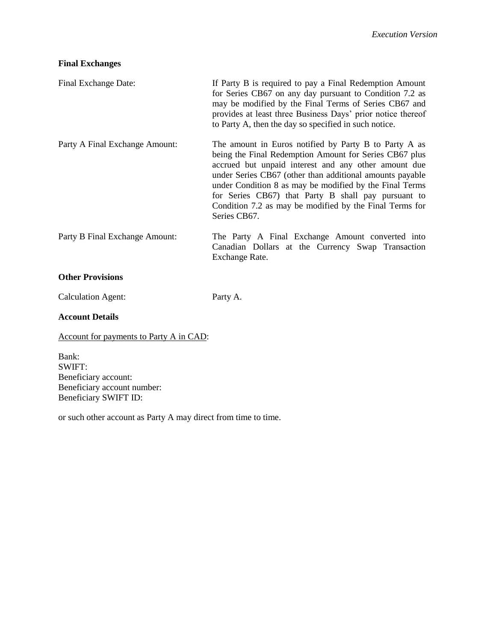### **Final Exchanges**

| Final Exchange Date:           | If Party B is required to pay a Final Redemption Amount<br>for Series CB67 on any day pursuant to Condition 7.2 as<br>may be modified by the Final Terms of Series CB67 and<br>provides at least three Business Days' prior notice thereof<br>to Party A, then the day so specified in such notice.                                                                                                                              |
|--------------------------------|----------------------------------------------------------------------------------------------------------------------------------------------------------------------------------------------------------------------------------------------------------------------------------------------------------------------------------------------------------------------------------------------------------------------------------|
| Party A Final Exchange Amount: | The amount in Euros notified by Party B to Party A as<br>being the Final Redemption Amount for Series CB67 plus<br>accrued but unpaid interest and any other amount due<br>under Series CB67 (other than additional amounts payable<br>under Condition 8 as may be modified by the Final Terms<br>for Series CB67) that Party B shall pay pursuant to<br>Condition 7.2 as may be modified by the Final Terms for<br>Series CB67. |
| Party B Final Exchange Amount: | The Party A Final Exchange Amount converted into<br>Canadian Dollars at the Currency Swap Transaction<br>Exchange Rate.                                                                                                                                                                                                                                                                                                          |
| <b>Other Provisions</b>        |                                                                                                                                                                                                                                                                                                                                                                                                                                  |

Calculation Agent: Party A.

#### **Account Details**

Account for payments to Party A in CAD:

Bank: SWIFT: Beneficiary account: Beneficiary account number: Beneficiary SWIFT ID:

or such other account as Party A may direct from time to time.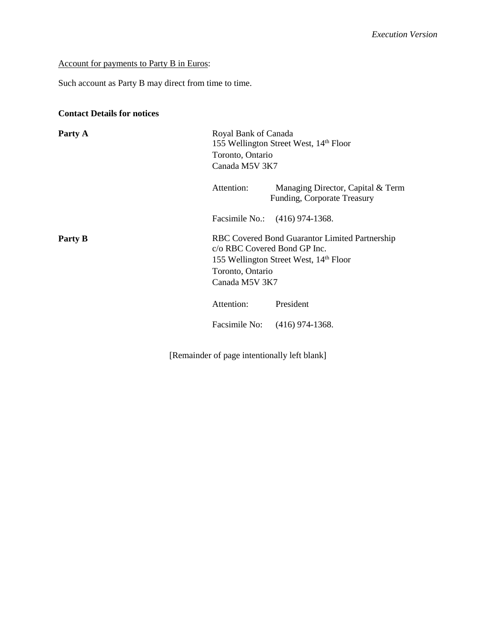### Account for payments to Party B in Euros:

Such account as Party B may direct from time to time.

## **Contact Details for notices**

| Party A | Royal Bank of Canada<br>155 Wellington Street West, 14th Floor<br>Toronto, Ontario<br>Canada M5V 3K7 |                                                                                                      |
|---------|------------------------------------------------------------------------------------------------------|------------------------------------------------------------------------------------------------------|
|         | Attention:                                                                                           | Managing Director, Capital & Term<br>Funding, Corporate Treasury                                     |
|         |                                                                                                      | Facsimile No.: (416) 974-1368.                                                                       |
| Party B | c/o RBC Covered Bond GP Inc.<br>Toronto, Ontario<br>Canada M5V 3K7                                   | RBC Covered Bond Guarantor Limited Partnership<br>155 Wellington Street West, 14 <sup>th</sup> Floor |
|         | Attention:                                                                                           | President                                                                                            |
|         |                                                                                                      | Facsimile No: (416) 974-1368.                                                                        |

[Remainder of page intentionally left blank]